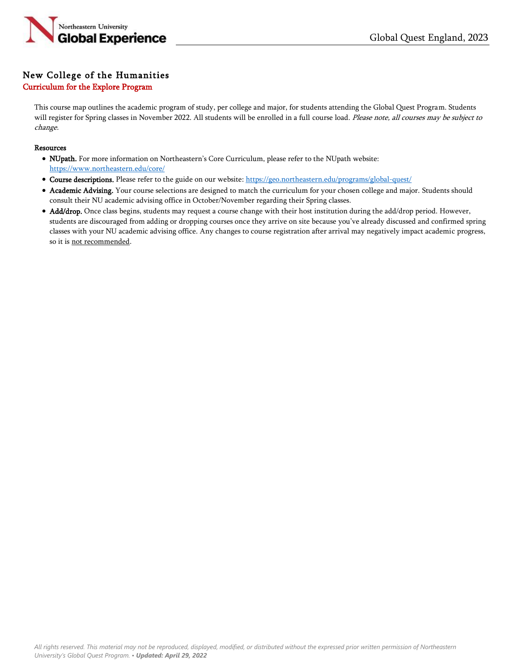

## New College of the Humanities

## Curriculum for the Explore Program

This course map outlines the academic program of study, per college and major, for students attending the Global Quest Program. Students will register for Spring classes in November 2022. All students will be enrolled in a full course load. Please note, all courses may be subject to change.

## Resources

- NUpath. For more information on Northeastern's Core Curriculum, please refer to the NUpath website: <https://www.northeastern.edu/core/>
- Course descriptions. Please refer to the guide on our website: <https://geo.northeastern.edu/programs/global-quest/>
- Academic Advising. Your course selections are designed to match the curriculum for your chosen college and major. Students should consult their NU academic advising office in October/November regarding their Spring classes.
- Add/drop. Once class begins, students may request a course change with their host institution during the add/drop period. However, students are discouraged from adding or dropping courses once they arrive on site because you've already discussed and confirmed spring classes with your NU academic advising office. Any changes to course registration after arrival may negatively impact academic progress, so it is not recommended.